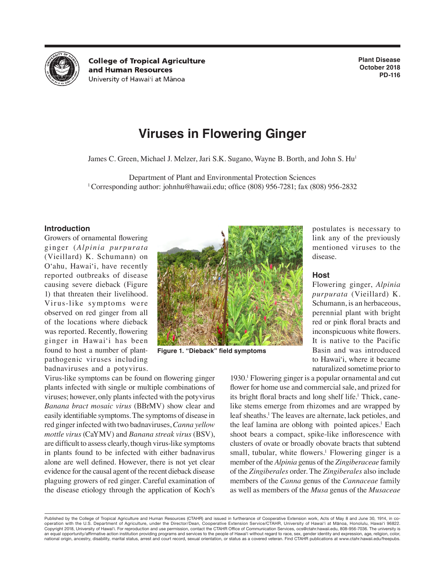

**College of Tropical Agriculture** and Human Resources University of Hawai'i at Mānoa

**Plant Disease October 2018 PD-116**

# **Viruses in Flowering Ginger**

James C. Green, Michael J. Melzer, Jari S.K. Sugano, Wayne B. Borth, and John S. Hu<sup>1</sup>

Department of Plant and Environmental Protection Sciences<br><sup>1</sup> Corresponding author: johnhu@hawaii.edu; office (808) 956-7281; fax (808) 956-2832

# **Introduction**

Growers of ornamental flowering ginger (*Alpinia purpurata* (Vieillard) K. Schumann) on O'ahu, Hawai'i, have recently reported outbreaks of disease causing severe dieback (Figure 1) that threaten their livelihood. Virus-like symptoms were observed on red ginger from all of the locations where dieback was reported. Recently, flowering ginger in Hawai'i has been found to host a number of plantpathogenic viruses including badnaviruses and a potyvirus.



**Figure 1. "Dieback" field symptoms**

Virus-like symptoms can be found on flowering ginger plants infected with single or multiple combinations of viruses; however, only plants infected with the potyvirus *Banana bract mosaic virus* (BBrMV) show clear and easily identifiable symptoms. The symptoms of disease in red ginger infected with two badnaviruses, *Canna yellow mottle virus* (CaYMV) and *Banana streak virus* (BSV), are difficult to assess clearly, though virus-like symptoms in plants found to be infected with either badnavirus alone are well defined. However, there is not yet clear evidence for the causal agent of the recent dieback disease plaguing growers of red ginger. Careful examination of the disease etiology through the application of Koch's

1930.<sup>1</sup> Flowering ginger is a popular ornamental and cut flower for home use and commercial sale, and prized for its bright floral bracts and long shelf life.<sup>1</sup> Thick, canelike stems emerge from rhizomes and are wrapped by leaf sheaths.<sup>1</sup> The leaves are alternate, lack petioles, and the leaf lamina are oblong with pointed apices.<sup>1</sup> Each shoot bears a compact, spike-like inflorescence with clusters of ovate or broadly obovate bracts that subtend small, tubular, white flowers.<sup>1</sup> Flowering ginger is a member of the *Alpinia* genus of the *Zingiberaceae* family of the *Zingiberales* order. The *Zingiberales* also include members of the *Canna* genus of the *Cannaceae* family as well as members of the *Musa* genus of the *Musaceae*

Published by the College of Tropical Agriculture and Human Resources (CTAHR) and issued in furtherance of Cooperative Extension work, Acts of May 8 and June 30, 1914, in cooperation with the U.S. Department of Agriculture, under the Director/Dean, Cooperative Extension Service/CTAHR, University of Hawai'i at Mānoa, Honolulu, Hawai'i 96822. Copyright 2018, University of Hawai'i. For reproduction and use permission, contact the CTAHR Office of Communication Services, ocs@ctahr.hawaii.edu, 808-956-7036. The university is an equal opportunity/affirmative action institution providing programs and services to the people of Hawai'i without regard to race, sex, gender identity and expression, age, religion, color, national origin, ancestry, disability, marital status, arrest and court record, sexual orientation, or status as a covered veteran. Find CTAHR publications at www.ctahr.hawaii.edu/freepubs.

postulates is necessary to link any of the previously mentioned viruses to the disease.

#### **Host**

Flowering ginger, *Alpinia purpurata* (Vieillard) K. Schumann, is an herbaceous, perennial plant with bright red or pink floral bracts and inconspicuous white flowers. It is native to the Pacific Basin and was introduced to Hawai'i, where it became naturalized sometime prior to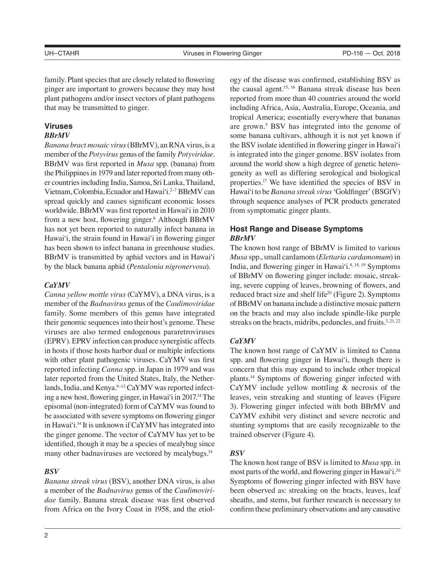family. Plant species that are closely related to flowering ginger are important to growers because they may host plant pathogens and/or insect vectors of plant pathogens that may be transmitted to ginger.

# **Viruses**

#### *BBrMV*

*Banana bract mosaic virus* (BBrMV), an RNA virus, is a member of the *Potyvirus* genus of the family *Potyviridae*. BBrMV was first reported in *Musa* spp. (banana) from the Philippines in 1979 and later reported from many other countries including India, Samoa, Sri Lanka, Thailand, Vietnam, Colombia, Ecuador and Hawai'i.<sup>2-7</sup> BBrMV can spread quickly and causes significant economic losses worldwide. BBrMV was first reported in Hawai'i in 2010 from a new host, flowering ginger.<sup>8</sup> Although BBrMV has not yet been reported to naturally infect banana in Hawai'i, the strain found in Hawai'i in flowering ginger has been shown to infect banana in greenhouse studies. BBrMV is transmitted by aphid vectors and in Hawai'i by the black banana aphid (*Pentalonia nigronervosa*).

#### *CaYMV*

*Canna yellow mottle virus* (CaYMV), a DNA virus, is a member of the *Badnavirus* genus of the *Caulimoviridae* family. Some members of this genus have integrated their genomic sequences into their host's genome. These viruses are also termed endogenous pararetroviruses (EPRV). EPRV infection can produce synergistic affects in hosts if those hosts harbor dual or multiple infections with other plant pathogenic viruses. CaYMV was first reported infecting *Canna* spp. in Japan in 1979 and was later reported from the United States, Italy, the Netherlands, India, and Kenya.<sup>9-13</sup> CaYMV was reported infecting a new host, flowering ginger, in Hawai'i in 2017.<sup>14</sup> The episomal (non-integrated) form of CaYMV was found to be associated with severe symptoms on flowering ginger in Hawai'i.14 It is unknown if CaYMV has integrated into the ginger genome. The vector of CaYMV has yet to be identified, though it may be a species of mealybug since many other badnaviruses are vectored by mealybugs.<sup>14</sup>

#### *BSV*

*Banana streak virus* (BSV), another DNA virus, is also a member of the *Badnavirus* genus of the *Caulimoviridae* family. Banana streak disease was first observed from Africa on the Ivory Coast in 1958, and the etiology of the disease was confirmed, establishing BSV as the causal agent.15, 16 Banana streak disease has been reported from more than 40 countries around the world including Africa, Asia, Australia, Europe, Oceania, and tropical America; essentially everywhere that bananas are grown.<sup>5</sup> BSV has integrated into the genome of some banana cultivars, although it is not yet known if the BSV isolate identified in flowering ginger in Hawai'i is integrated into the ginger genome. BSV isolates from around the world show a high degree of genetic heterogeneity as well as differing serological and biological properties.17 We have identified the species of BSV in Hawai'i to be *Banana streak virus* 'Goldfinger' (BSGfV) through sequence analyses of PCR products generated from symptomatic ginger plants.

# **Host Range and Disease Symptoms** *BBrMV*

The known host range of BBrMV is limited to various *Musa* spp., small cardamom (*Elettaria cardamomum*) in India, and flowering ginger in Hawai'i.<sup>8, 18, 19</sup> Symptoms of BBrMV on flowering ginger include: mosaic, streaking, severe cupping of leaves, browning of flowers, and reduced bract size and shelf life<sup>20</sup> (Figure 2). Symptoms of BBrMV on banana include a distinctive mosaic pattern on the bracts and may also include spindle-like purple streaks on the bracts, midribs, peduncles, and fruits. $3,21,22$ 

# *CaYMV*

The known host range of CaYMV is limited to Canna spp. and flowering ginger in Hawai'i, though there is concern that this may expand to include other tropical plants.14 Symptoms of flowering ginger infected with CaYMV include yellow mottling & necrosis of the leaves, vein streaking and stunting of leaves (Figure 3). Flowering ginger infected with both BBrMV and CaYMV exhibit very distinct and severe necrotic and stunting symptoms that are easily recognizable to the trained observer (Figure 4).

# *BSV*

The known host range of BSV is limited to *Musa* spp. in most parts of the world, and flowering ginger in Hawai'i.20 Symptoms of flowering ginger infected with BSV have been observed as: streaking on the bracts, leaves, leaf sheaths, and stems, but further research is necessary to confirm these preliminary observations and any causative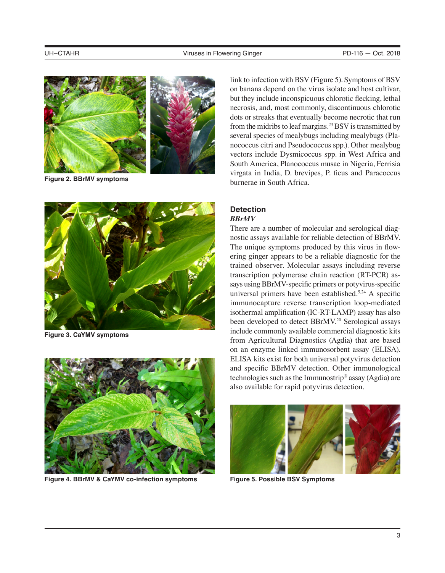

**Figure 2. BBrMV symptoms**



**Figure 3. CaYMV symptoms**



**Figure 4. BBrMV & CaYMV co-infection symptoms**

link to infection with BSV (Figure 5). Symptoms of BSV on banana depend on the virus isolate and host cultivar, but they include inconspicuous chlorotic flecking, lethal necrosis, and, most commonly, discontinuous chlorotic dots or streaks that eventually become necrotic that run from the midribs to leaf margins.<sup>23</sup> BSV is transmitted by several species of mealybugs including mealybugs (Planococcus citri and Pseudococcus spp.). Other mealybug vectors include Dysmicoccus spp. in West Africa and South America, Planococcus musae in Nigeria, Ferrisia virgata in India, D. brevipes, P. ficus and Paracoccus burnerae in South Africa.

# **Detection**  *BBrMV*

There are a number of molecular and serological diagnostic assays available for reliable detection of BBrMV. The unique symptoms produced by this virus in flowering ginger appears to be a reliable diagnostic for the trained observer. Molecular assays including reverse transcription polymerase chain reaction (RT-PCR) assays using BBrMV-specific primers or potyvirus-specific universal primers have been established. $5,24$  A specific immunocapture reverse transcription loop-mediated isothermal amplification (IC-RT-LAMP) assay has also been developed to detect BBrMV.<sup>20</sup> Serological assays include commonly available commercial diagnostic kits from Agricultural Diagnostics (Agdia) that are based on an enzyme linked immunosorbent assay (ELISA). ELISA kits exist for both universal potyvirus detection and specific BBrMV detection. Other immunological technologies such as the Immunostrip® assay (Agdia) are also available for rapid potyvirus detection.



**Figure 5. Possible BSV Symptoms**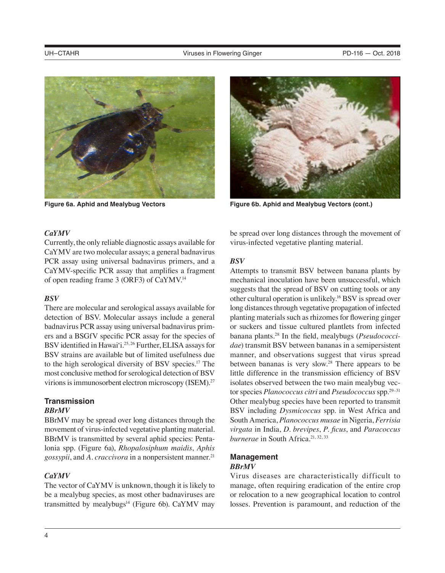



**Figure 6a. Aphid and Mealybug Vectors Figure 6b. Aphid and Mealybug Vectors (cont.)**

#### *CaYMV*

Currently, the only reliable diagnostic assays available for CaYMV are two molecular assays; a general badnavirus PCR assay using universal badnavirus primers, and a CaYMV-specific PCR assay that amplifies a fragment of open reading frame 3 (ORF3) of CaYMV.<sup>14</sup>

# *BSV*

There are molecular and serological assays available for detection of BSV. Molecular assays include a general badnavirus PCR assay using universal badnavirus primers and a BSGfV specific PCR assay for the species of BSV identified in Hawai'i.<sup>25, 26</sup> Further, ELISA assays for BSV strains are available but of limited usefulness due to the high serological diversity of BSV species.17 The most conclusive method for serological detection of BSV virions is immunosorbent electron microscopy (ISEM).<sup>27</sup>

# **Transmission**

# *BBrMV*

BBrMV may be spread over long distances through the movement of virus-infected vegetative planting material. BBrMV is transmitted by several aphid species: Pentalonia spp. (Figure 6a), *Rhopalosiphum maidis*, *Aphis*  gossypii, and A. craccivora in a nonpersistent manner.<sup>21</sup>

# *CaYMV*

The vector of CaYMV is unknown, though it is likely to be a mealybug species, as most other badnaviruses are transmitted by mealybugs $14$  (Figure 6b). CaYMV may be spread over long distances through the movement of virus-infected vegetative planting material.

# *BSV*

Attempts to transmit BSV between banana plants by mechanical inoculation have been unsuccessful, which suggests that the spread of BSV on cutting tools or any other cultural operation is unlikely.16 BSV is spread over long distances through vegetative propagation of infected planting materials such as rhizomes for flowering ginger or suckers and tissue cultured plantlets from infected banana plants.28 In the field, mealybugs (*Pseudococcidae*) transmit BSV between bananas in a semipersistent manner, and observations suggest that virus spread between bananas is very slow.<sup>28</sup> There appears to be little difference in the transmission efficiency of BSV isolates observed between the two main mealybug vector species *Planococcus citri* and *Pseudococcus* spp.29–31 Other mealybug species have been reported to transmit BSV including *Dysmicoccus* spp. in West Africa and South America, *Planococcus musae* in Nigeria, *Ferrisia virgata* in India, *D. brevipes*, *P. ficus*, and *Paracoccus burnerae* in South Africa.<sup>21, 32, 33</sup>

#### **Management**  *BBrMV*

Virus diseases are characteristically difficult to manage, often requiring eradication of the entire crop or relocation to a new geographical location to control losses. Prevention is paramount, and reduction of the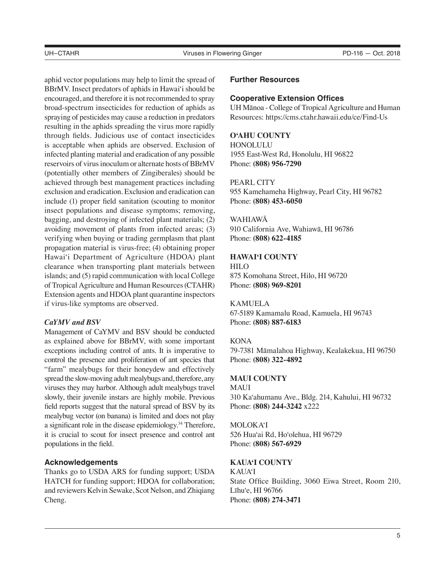aphid vector populations may help to limit the spread of BBrMV. Insect predators of aphids in Hawai'i should be encouraged, and therefore it is not recommended to spray broad-spectrum insecticides for reduction of aphids as spraying of pesticides may cause a reduction in predators resulting in the aphids spreading the virus more rapidly through fields. Judicious use of contact insecticides is acceptable when aphids are observed. Exclusion of infected planting material and eradication of any possible reservoirs of virus inoculum or alternate hosts of BBrMV (potentially other members of Zingiberales) should be achieved through best management practices including exclusion and eradication. Exclusion and eradication can include (1) proper field sanitation (scouting to monitor insect populations and disease symptoms; removing, bagging, and destroying of infected plant materials; (2) avoiding movement of plants from infected areas; (3) verifying when buying or trading germplasm that plant propagation material is virus-free; (4) obtaining proper Hawai'i Department of Agriculture (HDOA) plant clearance when transporting plant materials between islands; and (5) rapid communication with local College of Tropical Agriculture and Human Resources (CTAHR) Extension agents and HDOA plant quarantine inspectors if virus-like symptoms are observed.

#### *CaYMV and BSV*

Management of CaYMV and BSV should be conducted as explained above for BBrMV, with some important exceptions including control of ants. It is imperative to control the presence and proliferation of ant species that "farm" mealybugs for their honeydew and effectively spread the slow-moving adult mealybugs and, therefore, any viruses they may harbor. Although adult mealybugs travel slowly, their juvenile instars are highly mobile. Previous field reports suggest that the natural spread of BSV by its mealybug vector (on banana) is limited and does not play a significant role in the disease epidemiology.34 Therefore, it is crucial to scout for insect presence and control ant populations in the field.

# **Acknowledgements**

Thanks go to USDA ARS for funding support; USDA HATCH for funding support; HDOA for collaboration; and reviewers Kelvin Sewake, Scot Nelson, and Zhiqiang Cheng.

#### **Further Resources**

#### **Cooperative Extension Offices**

UH Mānoa - College of Tropical Agriculture and Human Resources: https://cms.ctahr.hawaii.edu/ce/Find-Us

# **O'AHU COUNTY**

HONOLULU 1955 East-West Rd, Honolulu, HI 96822 Phone: **(808) 956-7290**

#### PEARL CITY

955 Kamehameha Highway, Pearl City, HI 96782 Phone: **(808) 453-6050**

#### WAHIAWĀ

910 California Ave, Wahiawā, HI 96786 Phone: **(808) 622-4185**

#### **HAWAI'I COUNTY**

HILO 875 Komohana Street, Hilo, HI 96720 Phone: **(808) 969-8201**

#### KAMUELA

67-5189 Kamamalu Road, Kamuela, HI 96743 Phone: **(808) 887-6183**

#### **KONA**

79-7381 Māmalahoa Highway, Kealakekua, HI 96750 Phone: **(808) 322-4892**

#### **MAUI COUNTY**

MAUI 310 Ka'ahumanu Ave., Bldg. 214, Kahului, HI 96732 Phone: **(808) 244-3242** x222

#### MOLOKA'I

526 Hua'ai Rd, Ho'olehua, HI 96729 Phone: **(808) 567-6929**

# **KAUA'I COUNTY**

KAUA'I State Office Building, 3060 Eiwa Street, Room 210, Līhu'e, HI 96766 Phone: **(808) 274-3471**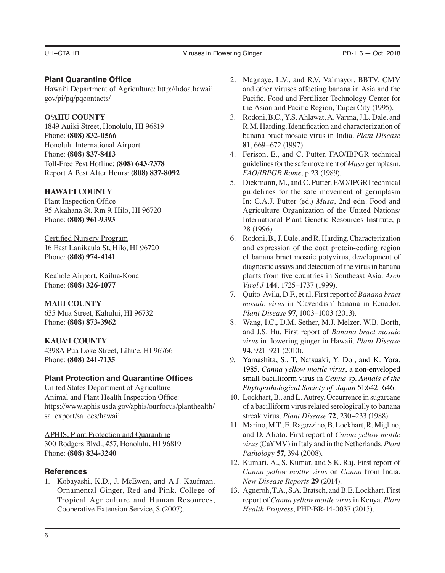# **Plant Quarantine Office**

Hawai'i Department of Agriculture: http://hdoa.hawaii. gov/pi/pq/pqcontacts/

# **O'AHU COUNTY**

1849 Auiki Street, Honolulu, HI 96819 Phone: **(808) 832-0566** Honolulu International Airport Phone: **(808) 837-8413** Toll-Free Pest Hotline: **(808) 643-7378** Report A Pest After Hours: **(808) 837-8092**

# **HAWAI'I COUNTY**

Plant Inspection Office 95 Akahana St. Rm 9, Hilo, HI 96720 Phone: (**808) 961-9393**

Certified Nursery Program 16 East Lanikaula St, Hilo, HI 96720 Phone: (**808) 974-4141**

Keāhole Airport, Kailua-Kona Phone: (**808) 326-1077**

**MAUI COUNTY** 635 Mua Street, Kahului, HI 96732 Phone: **(808) 873-3962**

#### **KAUA'I COUNTY**

4398A Pua Loke Street, Līhu'e, HI 96766 Phone: **(808) 241-7135**

# **Plant Protection and Quarantine Offices**

United States Department of Agriculture Animal and Plant Health Inspection Office: https://www.aphis.usda.gov/aphis/ourfocus/planthealth/ sa\_export/sa\_ecs/hawaii

APHIS, Plant Protection and Quarantine 300 Rodgers Blvd., #57, Honolulu, HI 96819 Phone: **(808) 834-3240** 

#### **References**

1. Kobayashi, K.D., J. McEwen, and A.J. Kaufman. Ornamental Ginger, Red and Pink. College of Tropical Agriculture and Human Resources, Cooperative Extension Service, 8 (2007).

- 2. Magnaye, L.V., and R.V. Valmayor. BBTV, CMV and other viruses affecting banana in Asia and the Pacific. Food and Fertilizer Technology Center for the Asian and Pacific Region, Taipei City (1995).
- 3. Rodoni, B.C., Y.S. Ahlawat, A. Varma, J.L. Dale, and R.M. Harding. Identification and characterization of banana bract mosaic virus in India. *Plant Disease* **81**, 669–672 (1997).
- 4. Ferison, E., and C. Putter. FAO/IBPGR technical guidelines for the safe movement of *Musa* germplasm. *FAO/IBPGR Rome*, p 23 (1989).
- 5. Diekmann, M., and C. Putter. FAO/IPGRI technical guidelines for the safe movement of germplasm In: C.A.J. Putter (ed.) *Musa*, 2nd edn. Food and Agriculture Organization of the United Nations/ International Plant Genetic Resources Institute, p 28 (1996).
- 6. Rodoni, B., J. Dale, and R. Harding. Characterization and expression of the coat protein-coding region of banana bract mosaic potyvirus, development of diagnostic assays and detection of the virus in banana plants from five countries in Southeast Asia. *Arch Virol J* **144**, 1725–1737 (1999).
- 7. Quito-Avila, D.F., et al. First report of *Banana bract mosaic virus* in 'Cavendish' banana in Ecuador. *Plant Disease* **97**, 1003–1003 (2013).
- 8. Wang, I.C., D.M. Sether, M.J. Melzer, W.B. Borth, and J.S. Hu. First report of *Banana bract mosaic virus* in flowering ginger in Hawaii. *Plant Disease* **94**, 921–921 (2010).
- 9. Yamashita, S., T. Natsuaki, Y. Doi, and K. Yora. 1985. *Canna yellow mottle virus*, a non-enveloped small-bacilliform virus in *Canna* sp. *Annals of the Phytopathological Society of Japan* 51:642–646.
- 10. Lockhart, B., and L. Autrey. Occurrence in sugarcane of a bacilliform virus related serologically to banana streak virus. *Plant Disease* **72**, 230–233 (1988).
- 11. Marino, M.T., E. Ragozzino, B. Lockhart, R. Miglino, and D. Alioto. First report of *Canna yellow mottle virus* (CaYMV) in Italy and in the Netherlands. *Plant Pathology* **57**, 394 (2008).
- 12. Kumari, A., S. Kumar, and S.K. Raj. First report of *Canna yellow mottle virus* on *Canna* from India. *New Disease Reports* **29** (2014).
- 13. Agneroh, T.A., S.A. Bratsch, and B.E. Lockhart. First report of *Canna yellow mottle virus* in Kenya. *Plant Health Progress*, PHP-BR-14-0037 (2015).